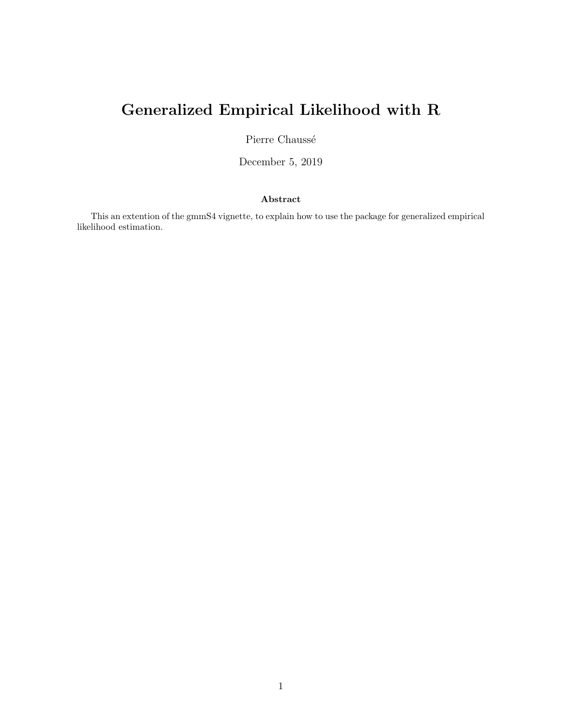# Generalized Empirical Likelihood with R

Pierre Chaussé

December 5, 2019

#### Abstract

This an extention of the gmmS4 vignette, to explain how to use the package for generalized empirical likelihood estimation.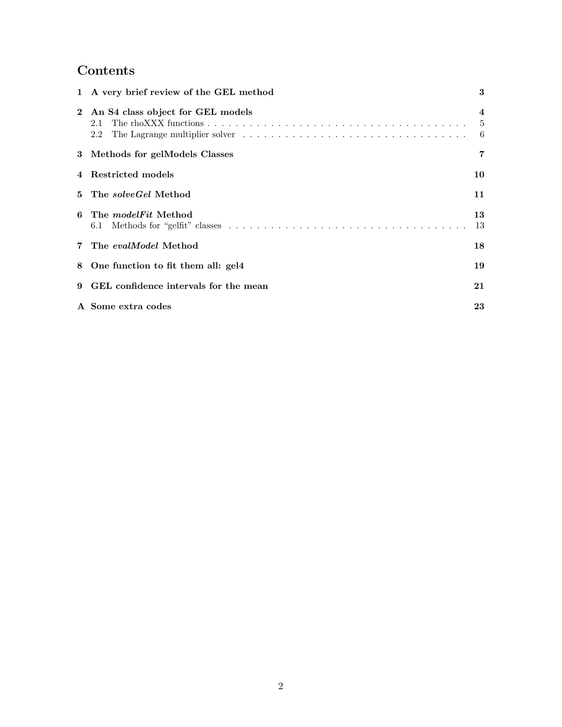## Contents

|   | 1 A very brief review of the GEL method           | 3           |
|---|---------------------------------------------------|-------------|
|   | 2 An S4 class object for GEL models<br>2.1<br>2.2 | 4<br>5<br>6 |
|   | 3 Methods for gelModels Classes                   | 7           |
|   | 4 Restricted models                               | 10          |
|   | 5 The <i>solveGel</i> Method                      | 11          |
| 6 | The <i>modelFit</i> Method                        | 13<br>13    |
|   | 7 The evalModel Method                            | 18          |
|   | 8 One function to fit them all: gel4              | 19          |
| 9 | GEL confidence intervals for the mean             | 21          |
|   | A Some extra codes                                | 23          |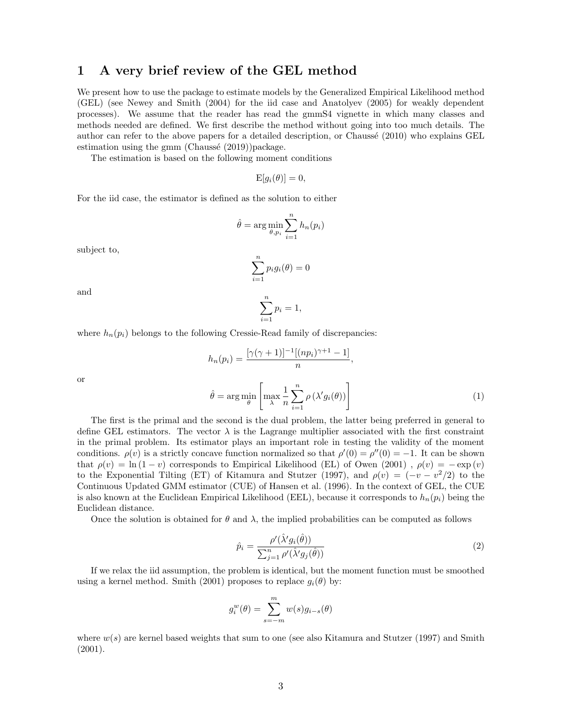### <span id="page-2-0"></span>1 A very brief review of the GEL method

We present how to use the package to estimate models by the Generalized Empirical Likelihood method (GEL) (see [Newey and Smith](#page-22-1) [\(2004\)](#page-22-1) for the iid case and [Anatolyev](#page-21-0) [\(2005\)](#page-21-0) for weakly dependent processes). We assume that the reader has read the gmmS4 vignette in which many classes and methods needed are defined. We first describe the method without going into too much details. The author can refer to the above papers for a detailed description, or Chaussé [\(2010\)](#page-22-2) who explains GEL estimation using the gmm (Chaussé  $(2019)$ )package.

The estimation is based on the following moment conditions

$$
\mathrm{E}[g_i(\theta)] = 0,
$$

For the iid case, the estimator is defined as the solution to either

$$
\hat{\theta} = \arg\min_{\theta, p_i} \sum_{i=1}^n h_n(p_i)
$$

subject to,

$$
\sum_{i=1}^{n} p_i g_i(\theta) = 0
$$

 $p_i = 1$ ,

 $\sum_{n=1}^{\infty}$  $i=1$ 

and

where  $h_n(p_i)$  belongs to the following Cressie-Read family of discrepancies:

<span id="page-2-1"></span>
$$
h_n(p_i) = \frac{\left[\gamma(\gamma+1)\right]^{-1}\left[(np_i)^{\gamma+1} - 1\right]}{n},
$$

$$
\hat{\theta} = \arg\min_{\theta} \left[\max_{\lambda} \frac{1}{n} \sum_{i=1}^n \rho\left(\lambda' g_i(\theta)\right)\right]
$$
(1)

or

The first is the primal and the second is the dual problem, the latter being preferred in general to define GEL estimators. The vector  $\lambda$  is the Lagrange multiplier associated with the first constraint in the primal problem. Its estimator plays an important role in testing the validity of the moment conditions.  $\rho(v)$  is a strictly concave function normalized so that  $\rho'(0) = \rho''(0) = -1$ . It can be shown that  $\rho(v) = \ln(1-v)$  corresponds to Empirical Likelihood (EL) of [Owen](#page-22-4) [\(2001\)](#page-22-4),  $\rho(v) = -\exp(v)$ to the Exponential Tilting (ET) of [Kitamura and Stutzer](#page-22-5) [\(1997\)](#page-22-5), and  $\rho(v) = (-v - v^2/2)$  to the Continuous Updated GMM estimator (CUE) of [Hansen et al.](#page-22-6) [\(1996\)](#page-22-6). In the context of GEL, the CUE is also known at the Euclidean Empirical Likelihood (EEL), because it corresponds to  $h_n(p_i)$  being the Euclidean distance.

Once the solution is obtained for  $\theta$  and  $\lambda$ , the implied probabilities can be computed as follows

$$
\hat{p}_i = \frac{\rho'(\hat{\lambda}' g_i(\hat{\theta}))}{\sum_{j=1}^n \rho'(\hat{\lambda}' g_j(\hat{\theta}))}
$$
\n(2)

If we relax the iid assumption, the problem is identical, but the moment function must be smoothed using a kernel method. [Smith](#page-22-7) [\(2001\)](#page-22-7) proposes to replace  $g_i(\theta)$  by:

$$
g_i^w(\theta) = \sum_{s=-m}^m w(s)g_{i-s}(\theta)
$$

where  $w(s)$  are kernel based weights that sum to one (see also [Kitamura and Stutzer](#page-22-5) [\(1997\)](#page-22-5) and [Smith](#page-22-7) [\(2001\)](#page-22-7).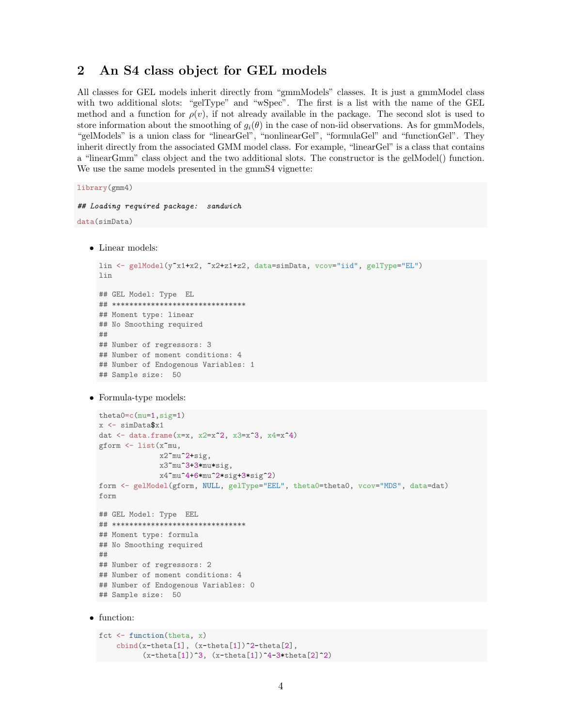### <span id="page-3-0"></span>2 An S4 class object for GEL models

All classes for GEL models inherit directly from "gmmModels" classes. It is just a gmmModel class with two additional slots: "gelType" and "wSpec". The first is a list with the name of the GEL method and a function for  $\rho(v)$ , if not already available in the package. The second slot is used to store information about the smoothing of  $g_i(\theta)$  in the case of non-iid observations. As for gmmModels, "gelModels" is a union class for "linearGel", "nonlinearGel", "formulaGel" and "functionGel". They inherit directly from the associated GMM model class. For example, "linearGel" is a class that contains a "linearGmm" class object and the two additional slots. The constructor is the gelModel() function. We use the same models presented in the gmmS4 vignette:

library(gmm4)

```
## Loading required package: sandwich
```

```
data(simData)
```
• Linear models:

```
lin <- gelModel(y"x1+x2, "x2+z1+z2, data=simData, vcov="iid", gelType="EL")
lin
## GEL Model: Type EL
## *******************************
## Moment type: linear
## No Smoothing required
##
## Number of regressors: 3
## Number of moment conditions: 4
## Number of Endogenous Variables: 1
## Sample size: 50
```

```
• Formula-type models:
```

```
theta0=c(mu=1,sig=1)
x <- simData$x1
dat \leftarrow data.frame(x=x, x2=x^2, x3=x^3, x4=x^4)
gform <- list(x~mu,
              x2~mu^2+sig,
              x3~mu^3+3*mu*sig,
              x4~mu^4+6*mu^2*sig+3*sig^2)
form <- gelModel(gform, NULL, gelType="EEL", theta0=theta0, vcov="MDS", data=dat)
form
## GEL Model: Type EEL
## *******************************
## Moment type: formula
## No Smoothing required
##
## Number of regressors: 2
## Number of moment conditions: 4
## Number of Endogenous Variables: 0
## Sample size: 50
```
• function:

```
fct <- function(theta, x)
   cbind(x-theta[1], (x-theta[1])^2-theta[2],
          (x-theta[1])^3, (x-theta[1])^4-3*theta[2]^2)
```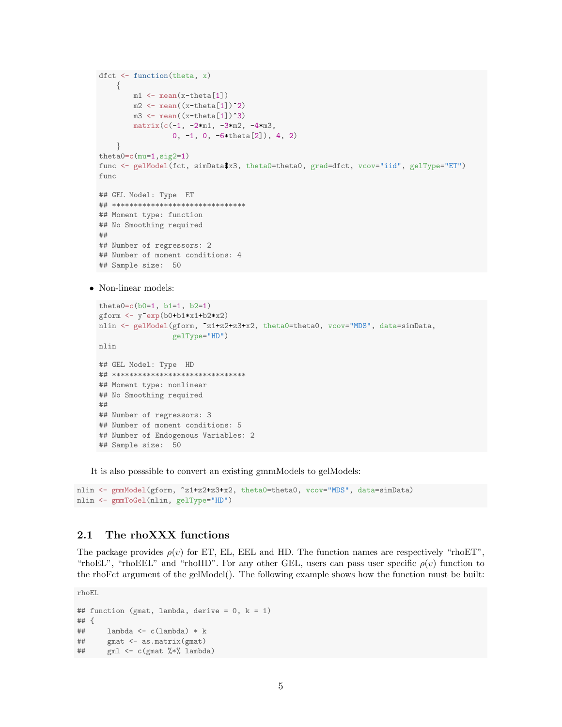```
dfct \leftarrow function(theta, x)
     {
           m1 <- mean(x-theta[1])
           m2 \leftarrow \text{mean}((x-\text{theta}[1])^2)m3 \leftarrow \text{mean}((x-\text{theta}[1])^3)matrix(c(-1, -2*m1, -3*m2, -4*m3,0, -1, 0, -6*theta[2]), 4, 2)
      }
  theta0=c(mu=1,sig2=1)
  func <- gelModel(fct, simData$x3, theta0=theta0, grad=dfct, vcov="iid", gelType="ET")
  func
  ## GEL Model: Type ET
  ## *******************************
  ## Moment type: function
  ## No Smoothing required
  ##
  ## Number of regressors: 2
  ## Number of moment conditions: 4
  ## Sample size: 50
• Non-linear models:
```

```
theta0=c(b0=1, b1=1, b2=1)
gform <- y~exp(b0+b1*x1+b2*x2)
nlin <- gelModel(gform, "z1+z2+z3+x2, theta0=theta0, vcov="MDS", data=simData,
                 gelType="HD")
nlin
## GEL Model: Type HD
## *******************************
## Moment type: nonlinear
## No Smoothing required
##
## Number of regressors: 3
## Number of moment conditions: 5
```
It is also posssible to convert an existing gmmModels to gelModels:

```
nlin <- gmmModel(gform, ~z1+z2+z3+x2, theta0=theta0, vcov="MDS", data=simData)
nlin <- gmmToGel(nlin, gelType="HD")
```
#### <span id="page-4-0"></span>2.1 The rhoXXX functions

## Sample size: 50

The package provides  $\rho(v)$  for ET, EL, EEL and HD. The function names are respectively "rhoET", "rhoEL", "rhoEEL" and "rhoHD". For any other GEL, users can pass user specific  $\rho(v)$  function to the rhoFct argument of the gelModel(). The following example shows how the function must be built:

rhoEL

```
## function (gmat, lambda, derive = 0, k = 1)
## {
## lambda <- c(lambda) * k
## gmat <- as.matrix(gmat)
## gml <- c(gmat %*% lambda)
```
## Number of Endogenous Variables: 2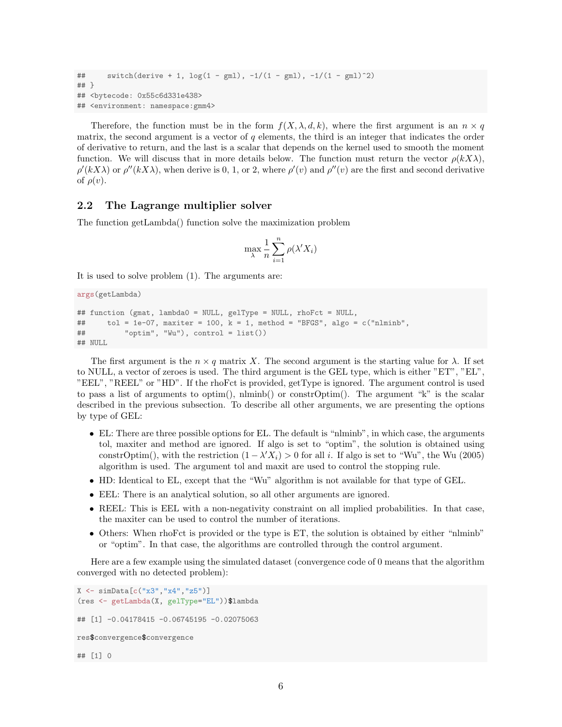```
## switch(derive + 1, log(1 - gml), -1/(1 - gml), -1/(1 - gml)^2)## }
## <bytecode: 0x55c6d331e438>
## <environment: namespace:gmm4>
```
Therefore, the function must be in the form  $f(X, \lambda, d, k)$ , where the first argument is an  $n \times q$ matrix, the second argument is a vector of  $q$  elements, the third is an integer that indicates the order of derivative to return, and the last is a scalar that depends on the kernel used to smooth the moment function. We will discuss that in more details below. The function must return the vector  $\rho(kX\lambda)$ ,  $\rho'(kX\lambda)$  or  $\rho''(kX\lambda)$ , when derive is 0, 1, or 2, where  $\rho'(v)$  and  $\rho''(v)$  are the first and second derivative of  $\rho(v)$ .

#### <span id="page-5-0"></span>2.2 The Lagrange multiplier solver

The function getLambda() function solve the maximization problem

$$
\max_{\lambda} \frac{1}{n} \sum_{i=1}^{n} \rho(\lambda' X_i)
$$

It is used to solve problem [\(1\)](#page-2-1). The arguments are:

```
args(getLambda)
```

```
## function (gmat, lambda0 = NULL, gelType = NULL, rhoFct = NULL,
## tol = 1e-07, maxiter = 100, k = 1, method = "BFGS", algo = c("nlminb",
## "optim", "Wu"), control = list())
## NULL
```
The first argument is the  $n \times q$  matrix X. The second argument is the starting value for  $\lambda$ . If set to NULL, a vector of zeroes is used. The third argument is the GEL type, which is either "ET", "EL", "EEL", "REEL" or "HD". If the rhoFct is provided, getType is ignored. The argument control is used to pass a list of arguments to optim(), nlminb() or constrOptim(). The argument "k" is the scalar described in the previous subsection. To describe all other arguments, we are presenting the options by type of GEL:

- EL: There are three possible options for EL. The default is "nlminb", in which case, the arguments tol, maxiter and method are ignored. If algo is set to "optim", the solution is obtained using constrOptim(), with the restriction  $(1 - \lambda' X_i) > 0$  for all *i*. If algo is set to "[Wu](#page-22-8)", the Wu [\(2005\)](#page-22-8) algorithm is used. The argument tol and maxit are used to control the stopping rule.
- HD: Identical to EL, except that the "Wu" algorithm is not available for that type of GEL.
- EEL: There is an analytical solution, so all other arguments are ignored.
- REEL: This is EEL with a non-negativity constraint on all implied probabilities. In that case, the maxiter can be used to control the number of iterations.
- Others: When rhoFct is provided or the type is ET, the solution is obtained by either "nlminb" or "optim". In that case, the algorithms are controlled through the control argument.

Here are a few example using the simulated dataset (convergence code of 0 means that the algorithm converged with no detected problem):

```
X \leftarrow \text{simData}[c("x3", "x4", "z5")](res <- getLambda(X, gelType="EL"))$lambda
## [1] -0.04178415 -0.06745195 -0.02075063
res$convergence$convergence
## [1] 0
```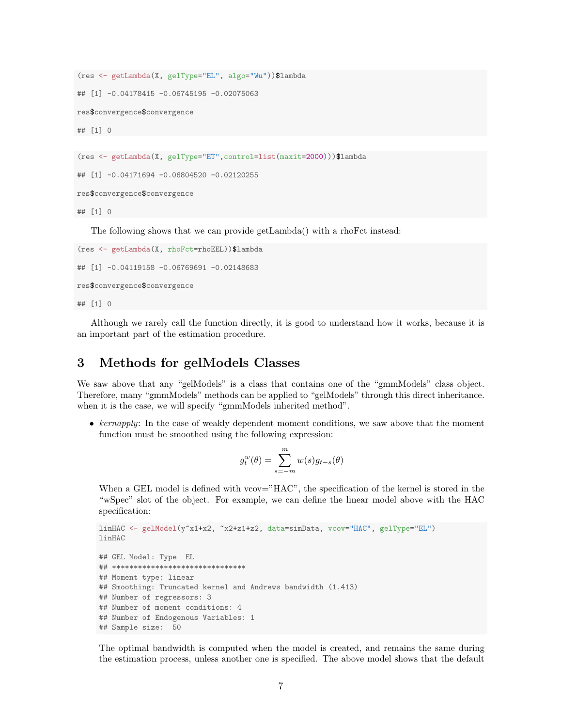```
(res <- getLambda(X, gelType="EL", algo="Wu"))$lambda
## [1] -0.04178415 -0.06745195 -0.02075063
res$convergence$convergence
## [1] 0
(res <- getLambda(X, gelType="ET",control=list(maxit=2000)))$lambda
## [1] -0.04171694 -0.06804520 -0.02120255
```
## [1] 0

The following shows that we can provide getLambda() with a rhoFct instead:

```
(res <- getLambda(X, rhoFct=rhoEEL))$lambda
```

```
## [1] -0.04119158 -0.06769691 -0.02148683
```
res\$convergence\$convergence

res\$convergence\$convergence

## [1] 0

Although we rarely call the function directly, it is good to understand how it works, because it is an important part of the estimation procedure.

#### <span id="page-6-0"></span>3 Methods for gelModels Classes

We saw above that any "gelModels" is a class that contains one of the "gmmModels" class object. Therefore, many "gmmModels" methods can be applied to "gelModels" through this direct inheritance. when it is the case, we will specify "gmmModels inherited method".

• kernapply: In the case of weakly dependent moment conditions, we saw above that the moment function must be smoothed using the following expression:

$$
g_t^w(\theta) = \sum_{s=-m}^m w(s) g_{t-s}(\theta)
$$

When a GEL model is defined with vcov="HAC", the specification of the kernel is stored in the "wSpec" slot of the object. For example, we can define the linear model above with the HAC specification:

```
linHAC <- gelModel(y~x1+x2, ~x2+z1+z2, data=simData, vcov="HAC", gelType="EL")
linHAC
## GEL Model: Type EL
## *******************************
## Moment type: linear
## Smoothing: Truncated kernel and Andrews bandwidth (1.413)
## Number of regressors: 3
## Number of moment conditions: 4
## Number of Endogenous Variables: 1
## Sample size: 50
```
The optimal bandwidth is computed when the model is created, and remains the same during the estimation process, unless another one is specified. The above model shows that the default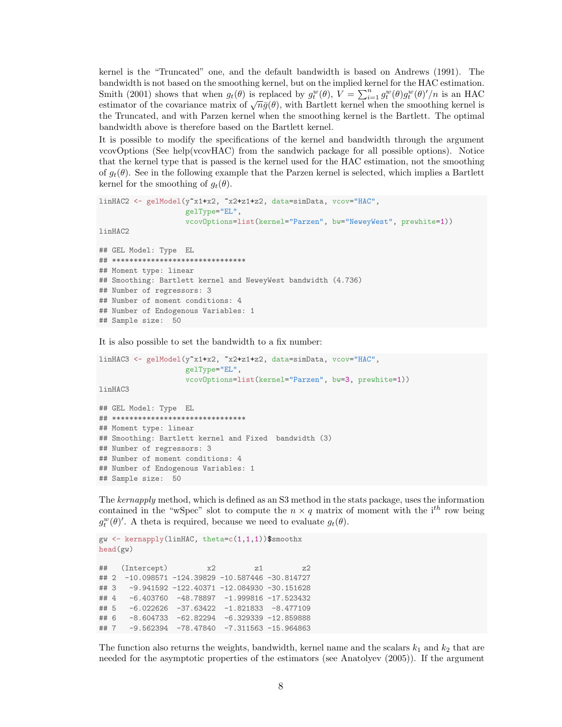kernel is the "Truncated" one, and the default bandwidth is based on [Andrews](#page-21-1) [\(1991\)](#page-21-1). The bandwidth is not based on the smoothing kernel, but on the implied kernel for the HAC estimation. [Smith](#page-22-7) [\(2001\)](#page-22-7) shows that when  $g_t(\theta)$  is replaced by  $g_t^w(\theta)$ ,  $V = \sum_{i=1}^n g_t^w(\theta) g_t^w(\theta)'/n$  is an HAC Simum (2001) shows that when  $g_t(\theta)$  is replaced by  $g_t(\theta)$ ,  $v = \sum_{i=1} g_t(\theta) g_t(\theta) / n$  is an HAC estimator of the covariance matrix of  $\sqrt{n}\bar{g}(\theta)$ , with Bartlett kernel when the smoothing kernel is the Truncated, and with Parzen kernel when the smoothing kernel is the Bartlett. The optimal bandwidth above is therefore based on the Bartlett kernel.

It is possible to modify the specifications of the kernel and bandwidth through the argument vcovOptions (See help(vcovHAC) from the sandwich package for all possible options). Notice that the kernel type that is passed is the kernel used for the HAC estimation, not the smoothing of  $g_t(\theta)$ . See in the following example that the Parzen kernel is selected, which implies a Bartlett kernel for the smoothing of  $q_t(\theta)$ .

```
linHAC2 <- gelModel(y~x1+x2, ~x2+z1+z2, data=simData, vcov="HAC",
                    gelType="EL",
                    vcovOptions=list(kernel="Parzen", bw="NeweyWest", prewhite=1))
linHAC2
## GEL Model: Type EL
## *******************************
## Moment type: linear
## Smoothing: Bartlett kernel and NeweyWest bandwidth (4.736)
## Number of regressors: 3
## Number of moment conditions: 4
## Number of Endogenous Variables: 1
## Sample size: 50
```
It is also possible to set the bandwidth to a fix number:

```
linHAC3 <- gelModel(y~x1+x2, ~x2+z1+z2, data=simData, vcov="HAC",
                    gelType="EL",
                    vcovOptions=list(kernel="Parzen", bw=3, prewhite=1))
linHAC3
```

```
## GEL Model: Type EL
## *******************************
## Moment type: linear
## Smoothing: Bartlett kernel and Fixed bandwidth (3)
## Number of regressors: 3
## Number of moment conditions: 4
## Number of Endogenous Variables: 1
## Sample size: 50
```
The kernapply method, which is defined as an S3 method in the stats package, uses the information contained in the "wSpec" slot to compute the  $n \times q$  matrix of moment with the i<sup>th</sup> row being  $g_t^w(\theta)$ . A theta is required, because we need to evaluate  $g_t(\theta)$ .

```
gw <- kernapply(linHAC, theta=c(1,1,1))$smoothx
head(gw)
## (Intercept) x2 z1 z2
## 2 -10.098571 -124.39829 -10.587446 -30.814727
## 3 -9.941592 -122.40371 -12.084930 -30.151628
## 4 -6.403760 -48.78897 -1.999816 -17.523432
## 5 -6.022626 -37.63422 -1.821833 -8.477109
## 6 -8.604733 -62.82294 -6.329339 -12.859888
## 7 -9.562394 -78.47840 -7.311563 -15.964863
```
The function also returns the weights, bandwidth, kernel name and the scalars  $k_1$  and  $k_2$  that are needed for the asymptotic properties of the estimators (see [Anatolyev](#page-21-0) [\(2005\)](#page-21-0)). If the argument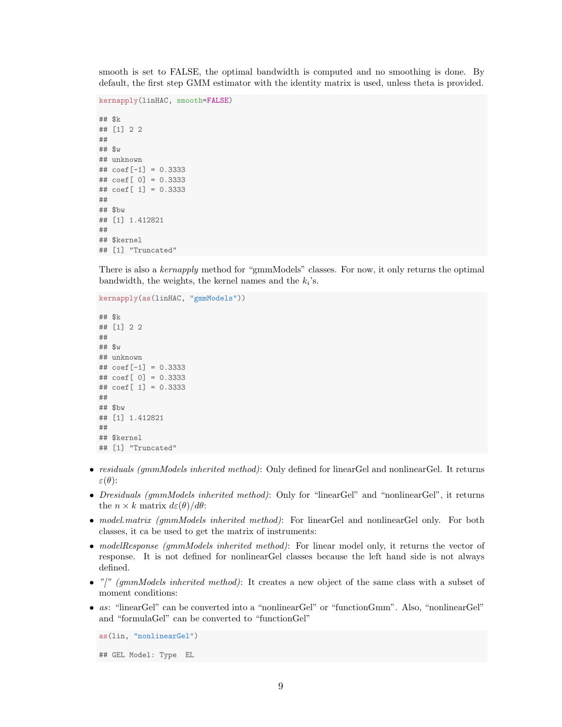smooth is set to FALSE, the optimal bandwidth is computed and no smoothing is done. By default, the first step GMM estimator with the identity matrix is used, unless theta is provided.

```
kernapply(linHAC, smooth=FALSE)
## $k
## [1] 2 2
##
## $w
## unknown
\## coef[-1] = 0.3333## coef[ 0] = 0.3333
## coef[ 1] = 0.3333
##
## $bw
## [1] 1.412821
##
## $kernel
## [1] "Truncated"
```
There is also a kernapply method for "gmmModels" classes. For now, it only returns the optimal bandwidth, the weights, the kernel names and the  $k_i$ 's.

```
kernapply(as(linHAC, "gmmModels"))
## $k
## [1] 2 2
##
## $w
## unknown
## coef[-1] = 0.3333
## coef[ 0] = 0.3333
## coef[ 1] = 0.3333
##
## $bw
## [1] 1.412821
##
## $kernel
## [1] "Truncated"
```
- residuals (gmmModels inherited method): Only defined for linearGel and nonlinearGel. It returns  $\varepsilon(\theta)$ :
- Dresiduals (gmmModels inherited method): Only for "linearGel" and "nonlinearGel", it returns the  $n \times k$  matrix  $d\varepsilon(\theta)/d\theta$ :
- model.matrix (gmmModels inherited method): For linearGel and nonlinearGel only. For both classes, it ca be used to get the matrix of instruments:
- modelResponse (gmmModels inherited method): For linear model only, it returns the vector of response. It is not defined for nonlinearGel classes because the left hand side is not always defined.
- "[" (gmmModels inherited method): It creates a new object of the same class with a subset of moment conditions:
- as: "linearGel" can be converted into a "nonlinearGel" or "functionGmm". Also, "nonlinearGel" and "formulaGel" can be converted to "functionGel"

```
as(lin, "nonlinearGel")
```
## GEL Model: Type EL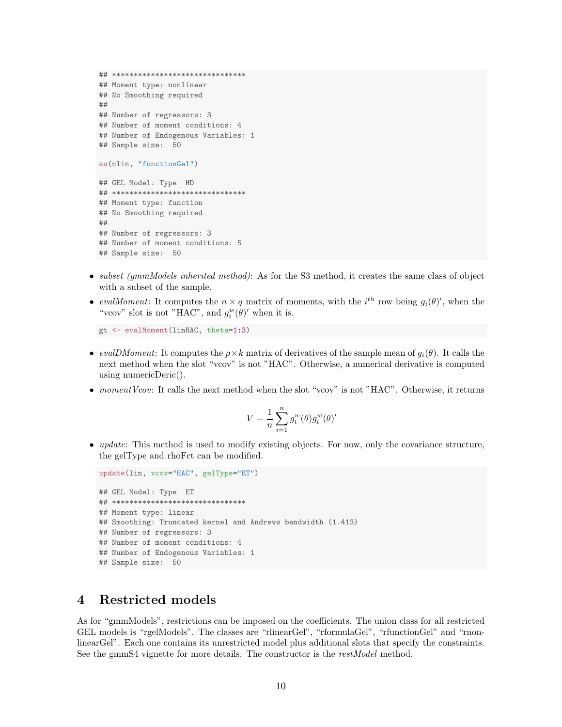```
## *******************************
## Moment type: nonlinear
## No Smoothing required
##
## Number of regressors: 3
## Number of moment conditions: 4
## Number of Endogenous Variables: 1
## Sample size: 50
as(nlin, "functionGel")
## GEL Model: Type HD
## *******************************
## Moment type: function
## No Smoothing required
##
## Number of regressors: 3
## Number of moment conditions: 5
## Sample size: 50
```
- subset (gmmModels inherited method): As for the S3 method, it creates the same class of object with a subset of the sample.
- evalMoment: It computes the  $n \times q$  matrix of moments, with the  $i^{th}$  row being  $g_i(\theta)$ ', when the "vcov" slot is not "HAC", and  $g_i^w(\theta)'$  when it is.

gt <- evalMoment(linHAC, theta=1:3)

- evalDMoment: It computes the  $p \times k$  matrix of derivatives of the sample mean of  $g_i(\theta)$ . It calls the next method when the slot "vcov" is not "HAC". Otherwise, a numerical derivative is computed using numericDeric().
- moment Vcov: It calls the next method when the slot "vcov" is not "HAC". Otherwise, it returns

$$
V = \frac{1}{n} \sum_{i=1}^{n} g_t^w(\theta) g_t^w(\theta)'
$$

• *update*: This method is used to modify existing objects. For now, only the covariance structure, the gelType and rhoFct can be modified.

```
update(lin, vcov="HAC", gelType="ET")
## GEL Model: Type ET
## *******************************
## Moment type: linear
## Smoothing: Truncated kernel and Andrews bandwidth (1.413)
## Number of regressors: 3
## Number of moment conditions: 4
## Number of Endogenous Variables: 1
## Sample size: 50
```
#### <span id="page-9-0"></span>4 Restricted models

As for "gmmModels", restrictions can be imposed on the coefficients. The union class for all restricted GEL models is "rgelModels". The classes are "rlinearGel", "rformulaGel", "rfunctionGel" and "rnonlinearGel". Each one contains its unrestricted model plus additional slots that specify the constraints. See the gmmS4 vignette for more details. The constructor is the restModel method.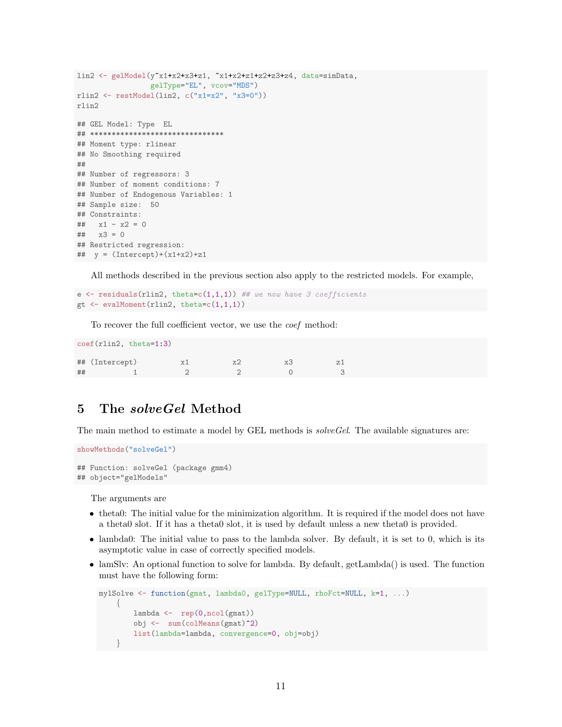```
lin2 <- gelModel(y^*x1+x2+x3+z1, x1+x2+z1+z2+z3+z4, data=simData,
                 gelType="EL", vcov="MDS")
rlin2 <- restModel(lin2, c("x1=x2", "x3=0"))
rlin2
## GEL Model: Type EL
## *******************************
## Moment type: rlinear
## No Smoothing required
##
## Number of regressors: 3
## Number of moment conditions: 7
## Number of Endogenous Variables: 1
## Sample size: 50
## Constraints:
\# \# \{x1 - x2 = 0## x3 = 0## Restricted regression:
## y = (Intercept) + (x1+x2) + z1
```
All methods described in the previous section also apply to the restricted models. For example,

e  $\leq$  residuals(rlin2, theta=c(1,1,1)) ## we now have 3 coefficients gt  $\leq$  evalMoment (rlin2, theta=c(1,1,1))

To recover the full coefficient vector, we use the coef method:

|    | $\text{coeff}(\text{rlin2}, \text{theta=1:3})$ |    |    |    |  |
|----|------------------------------------------------|----|----|----|--|
|    | ## (Intercept)                                 | x1 | x2 | xЗ |  |
| ## |                                                |    |    |    |  |

### <span id="page-10-0"></span>5 The solveGel Method

The main method to estimate a model by GEL methods is *solveGel*. The available signatures are:

```
showMethods("solveGel")
```

```
## Function: solveGel (package gmm4)
## object="gelModels"
```
The arguments are

- theta0: The initial value for the minimization algorithm. It is required if the model does not have a theta0 slot. If it has a theta0 slot, it is used by default unless a new theta0 is provided.
- lambda0: The initial value to pass to the lambda solver. By default, it is set to 0, which is its asymptotic value in case of correctly specified models.
- lamSlv: An optional function to solve for lambda. By default, getLambda() is used. The function must have the following form:

```
mylSolve <- function(gmat, lambda0, gelType=NULL, rhoFct=NULL, k=1, ...)
    {
         lambda \leftarrow \text{rep}(0,\text{ncol}(\text{gmat}))obj <- sum(colMeans(gmat)^2)
         list(lambda=lambda, convergence=0, obj=obj)
     }
```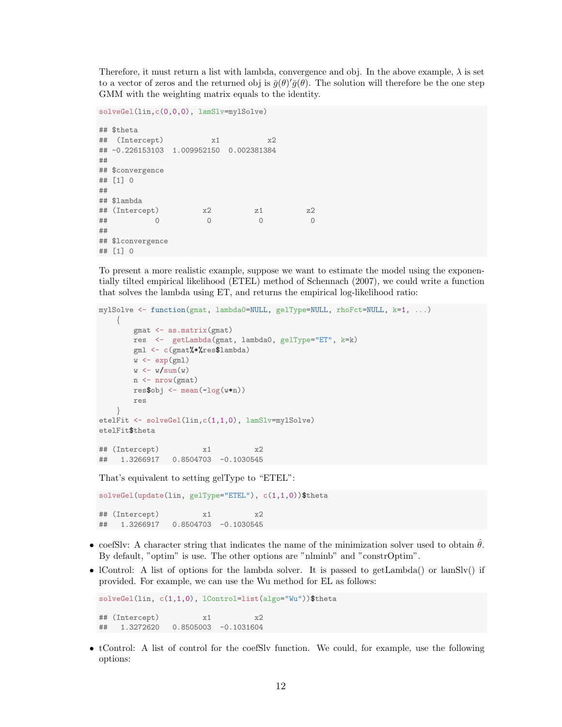Therefore, it must return a list with lambda, convergence and obj. In the above example,  $\lambda$  is set to a vector of zeros and the returned obj is  $\bar{g}(\theta)'\bar{g}(\theta)$ . The solution will therefore be the one step GMM with the weighting matrix equals to the identity.

```
solveGel(lin,c(0,0,0), lamSlv=mylSolve)
## $theta
## (Intercept) x1 x2
## -0.226153103 1.009952150 0.002381384
##
## $convergence
## [1] 0
##
## $lambda
\## (Intercept) x2 z1 z2
## 0 0 0 0
##
## $lconvergence
## [1] 0
```
To present a more realistic example, suppose we want to estimate the model using the exponentially tilted empirical likelihood (ETEL) method of [Schennach](#page-22-9) [\(2007\)](#page-22-9), we could write a function that solves the lambda using ET, and returns the empirical log-likelihood ratio:

```
mylSolve <- function(gmat, lambda0=NULL, gelType=NULL, rhoFct=NULL, k=1, ...)
    {
        gmat <- as.matrix(gmat)
        res <- getLambda(gmat, lambda0, gelType="ET", k=k)
        gml <- c(gmat%*%res$lambda)
        w \leftarrow \exp(gml)w \leftarrow w/\text{sum}(w)n <- nrow(gmat)
        resbbj \leftarrow mean(-log(w*n))res
    }
etelFit <- solveGel(lin,c(1,1,0), lamSlv=mylSolve)
etelFit$theta
## (Intercept) x1 x2
## 1.3266917 0.8504703 -0.1030545
```
That's equivalent to setting gelType to "ETEL":

```
solveGel(update(lin, gelType="ETEL"), c(1,1,0))$theta
## (Intercept) x1 x2
## 1.3266917 0.8504703 -0.1030545
```
- coefSlv: A character string that indicates the name of the minimization solver used to obtain  $\hat{\theta}$ . By default, "optim" is use. The other options are "nlminb" and "constrOptim".
- IControl: A list of options for the lambda solver. It is passed to getLambda() or lamSlv() if provided. For example, we can use the Wu method for EL as follows:

```
solveGel(lin, c(1,1,0), lControl=list(algo="Wu"))$theta
## (Intercept) x1 x2
## 1.3272620 0.8505003 -0.1031604
```
• tControl: A list of control for the coefSlv function. We could, for example, use the following options: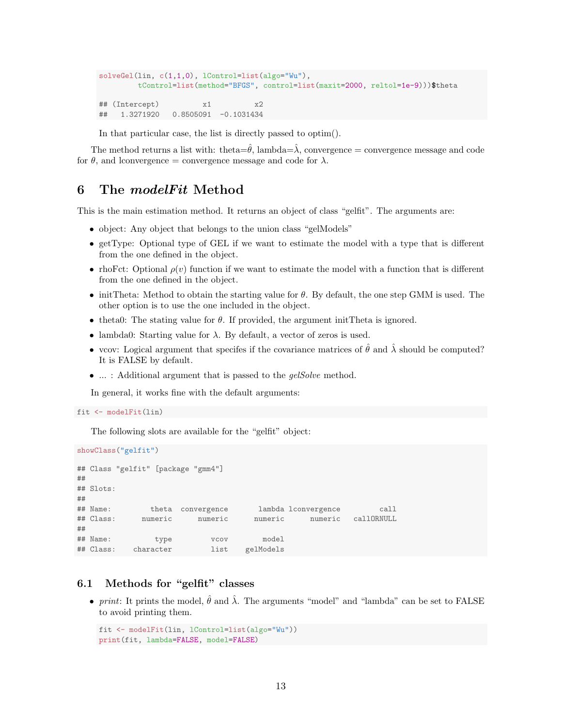```
solveGel(lin, c(1,1,0), lControl=list(algo="Wu"),
        tControl=list(method="BFGS", control=list(maxit=2000, reltol=1e-9)))$theta
## (Intercept) x1 x2
## 1.3271920 0.8505091 -0.1031434
```
In that particular case, the list is directly passed to optim().

The method returns a list with: theta= $\hat{\theta}$ , lambda= $\lambda$ , convergence = convergence message and code for  $\theta$ , and lconvergence = convergence message and code for  $\lambda$ .

### <span id="page-12-0"></span>6 The modelFit Method

This is the main estimation method. It returns an object of class "gelfit". The arguments are:

- object: Any object that belongs to the union class "gelModels"
- getType: Optional type of GEL if we want to estimate the model with a type that is different from the one defined in the object.
- rhoFct: Optional  $\rho(v)$  function if we want to estimate the model with a function that is different from the one defined in the object.
- initTheta: Method to obtain the starting value for  $\theta$ . By default, the one step GMM is used. The other option is to use the one included in the object.
- theta0: The stating value for  $\theta$ . If provided, the argument initTheta is ignored.
- lambda0: Starting value for  $\lambda$ . By default, a vector of zeros is used.
- vcov: Logical argument that specifes if the covariance matrices of  $\hat{\theta}$  and  $\hat{\lambda}$  should be computed? It is FALSE by default.
- ... : Additional argument that is passed to the *gelSolve* method.

In general, it works fine with the default arguments:

```
fit <- modelFit(lin)
```
The following slots are available for the "gelfit" object:

```
showClass("gelfit")
## Class "gelfit" [package "gmm4"]
##
## Slots:
##
## Name: theta convergence lambda lconvergence call
## Class: numeric numeric numeric numeric callORNULL
##
## Name: type vcov model
## Class: character list gelModels
```
#### <span id="page-12-1"></span>6.1 Methods for "gelfit" classes

• print: It prints the model,  $\hat{\theta}$  and  $\hat{\lambda}$ . The arguments "model" and "lambda" can be set to FALSE to avoid printing them.

```
fit <- modelFit(lin, lControl=list(algo="Wu"))
print(fit, lambda=FALSE, model=FALSE)
```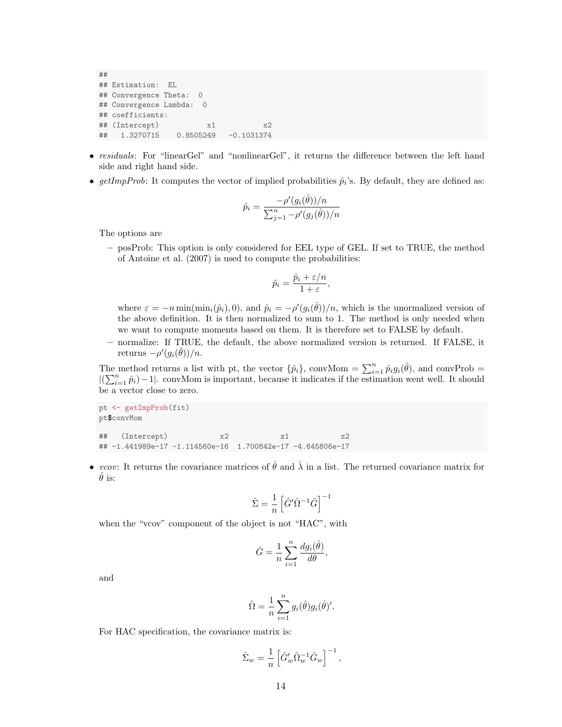## ## Estimation: EL ## Convergence Theta: 0 ## Convergence Lambda: 0 ## coefficients: ## (Intercept) x1 x2 ## 1.3270715 0.8505249 -0.1031374

- residuals: For "linearGel" and "nonlinearGel", it returns the difference between the left hand side and right hand side.
- getImpProb: It computes the vector of implied probabilities  $\hat{p}_i$ 's. By default, they are defined as:

$$
\hat{p}_i = \frac{-\rho'(g_i(\hat{\theta}))/n}{\sum_{j=1}^n -\rho'(g_j(\hat{\theta}))/n}
$$

The options are

– posProb: This option is only considered for EEL type of GEL. If set to TRUE, the method of [Antoine et al.](#page-22-10) [\(2007\)](#page-22-10) is used to compute the probabilities:

$$
\tilde{p}_i = \frac{\hat{p}_i + \varepsilon/n}{1 + \varepsilon},
$$

where  $\varepsilon = -n \min(\min_i(\hat{p}_i), 0)$ , and  $\hat{p}_i = -\rho'(g_i(\hat{\theta}))/n$ , which is the unormalized version of the above definition. It is then normalized to sum to 1. The method is only needed when we want to compute moments based on them. It is therefore set to FALSE by default.

– normalize: If TRUE, the default, the above normalized version is returned. If FALSE, it returns  $-\rho'(g_i(\hat{\theta}))/n$ .

The method returns a list with pt, the vector  $\{\hat{p}_i\}$ , conv $\text{Mom} = \sum_{i=1}^n \hat{p}_i g_i(\hat{\theta})$ , and convProb =  $|(\sum_{i=1}^n \hat{p}_i)-1|$ . convMom is important, because it indicates if the estimation went well. It should be a vector close to zero.

pt <- getImpProb(fit) pt\$convMom ## (Intercept) x2 z1 z2 ## -1.441989e-17 -1.114560e-16 1.700842e-17 -4.645806e-17

• vcov: It returns the covariance matrices of  $\hat{\theta}$  and  $\hat{\lambda}$  in a list. The returned covariance matrix for  $\theta$  is:

$$
\hat{\Sigma} = \frac{1}{n} \left[ \hat{G}' \hat{\Omega}^{-1} \hat{G} \right]^{-1}
$$

when the "vcov" component of the object is not "HAC", with

$$
\hat{G} = \frac{1}{n} \sum_{i=1}^{n} \frac{d g_i(\hat{\theta})}{d \theta},
$$

and

$$
\hat{\Omega} = \frac{1}{n} \sum_{i=1}^{n} g_i(\hat{\theta}) g_i(\hat{\theta})'.
$$

For HAC specification, the covariance matrix is:

$$
\hat{\Sigma}_w = \frac{1}{n} \left[ \hat{G}'_w \hat{\Omega}_w^{-1} \hat{G}_w \right]^{-1},
$$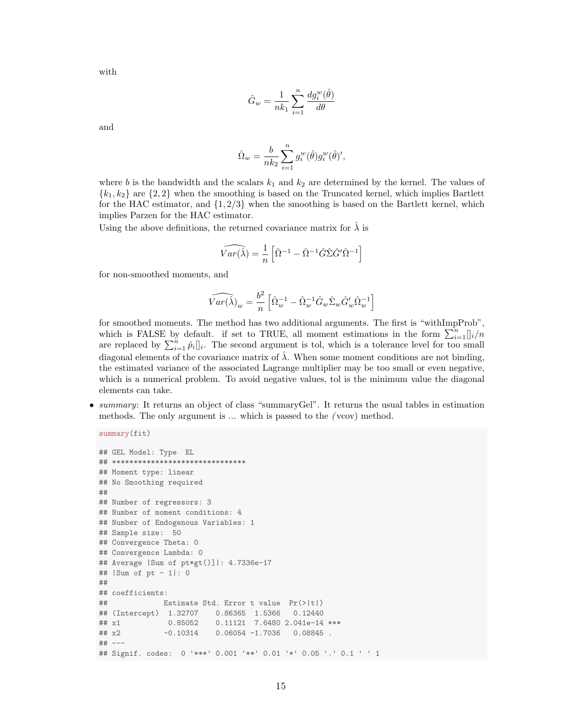with

$$
\hat{G}_w = \frac{1}{nk_1} \sum_{i=1}^n \frac{dg_i^w(\hat{\theta})}{d\theta}
$$

and

$$
\hat{\Omega}_w = \frac{b}{nk_2} \sum_{i=1}^n g_i^w(\hat{\theta}) g_i^w(\hat{\theta})',
$$

where b is the bandwidth and the scalars  $k_1$  and  $k_2$  are determined by the kernel. The values of  ${k_1, k_2}$  are  ${2, 2}$  when the smoothing is based on the Truncated kernel, which implies Bartlett for the HAC estimator, and  $\{1, 2/3\}$  when the smoothing is based on the Bartlett kernel, which implies Parzen for the HAC estimator.

Using the above definitions, the returned covariance matrix for  $\lambda$  is

$$
\widehat{Var(\hat{\lambda})} = \frac{1}{n} \left[ \hat{\Omega}^{-1} - \hat{\Omega}^{-1} \hat{G} \hat{\Sigma} \hat{G}' \hat{\Omega}^{-1} \right]
$$

for non-smoothed moments, and

$$
\widehat{Var(\hat{\lambda})}_w=\frac{b^2}{n}\left[\hat{\Omega}_w^{-1}-\hat{\Omega}_w^{-1}\hat{G}_w\hat{\Sigma}_w\hat{G}_w'\hat{\Omega}_w^{-1}\right]
$$

for smoothed moments. The method has two additional arguments. The first is "withImpProb", which is FALSE by default. if set to TRUE, all moment estimations in the form  $\sum_{i=1}^{n}$   $\int_{i}^{n}$ are replaced by  $\sum_{i=1}^{n} \hat{p}_i ||_i$ . The second argument is tol, which is a tolerance level for too small diagonal elements of the covariance matrix of  $\lambda$ . When some moment conditions are not binding, the estimated variance of the associated Lagrange multiplier may be too small or even negative, which is a numerical problem. To avoid negative values, tol is the minimum value the diagonal elements can take.

• summary: It returns an object of class "summaryGel". It returns the usual tables in estimation methods. The only argument is ... which is passed to the ( vcov) method.

```
summary(fit)
```

```
## GEL Model: Type EL
## *******************************
## Moment type: linear
## No Smoothing required
##
## Number of regressors: 3
## Number of moment conditions: 4
## Number of Endogenous Variables: 1
## Sample size: 50
## Convergence Theta: 0
## Convergence Lambda: 0
## Average |Sum of pt*gt()]|: 4.7336e-17
## |Sum of pt - 1|: 0
##
## coefficients:
## Estimate Std. Error t value Pr(>|t|)
## (Intercept) 1.32707 0.86365 1.5366 0.12440
## x1 0.85052 0.11121 7.6480 2.041e-14 ***
## x2 -0.10314 0.06054 -1.7036 0.08845 .
## ---
## Signif. codes: 0 '***' 0.001 '**' 0.01 '*' 0.05 '.' 0.1 ' ' 1
```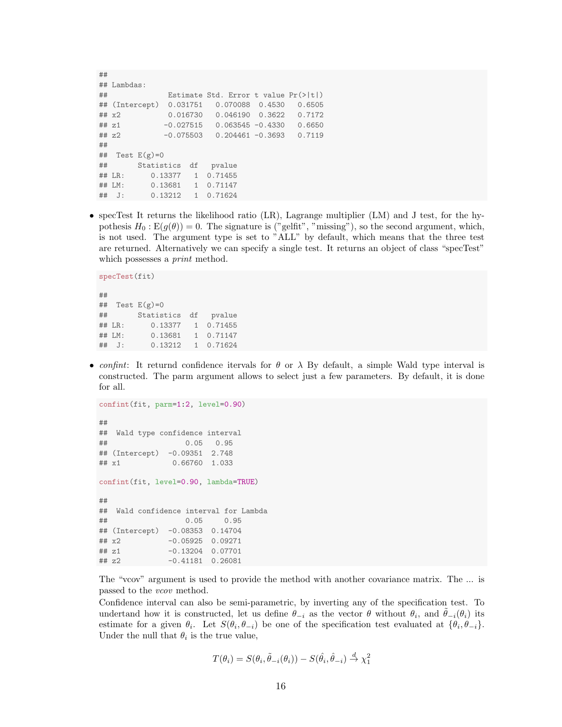```
##
## Lambdas:
## Estimate Std. Error t value Pr(>|t|)
## (Intercept) 0.031751 0.070088 0.4530 0.6505
## x2 0.016730 0.046190 0.3622 0.7172
## z1 -0.027515 0.063545 -0.4330 0.6650
## z2 -0.075503 0.204461 -0.3693 0.7119
##
## Test E(g)=0## Statistics df pvalue
## LR: 0.13377 1 0.71455
## LM: 0.13681 1 0.71147
## J: 0.13212 1 0.71624
```
• specTest It returns the likelihood ratio (LR), Lagrange multiplier (LM) and J test, for the hypothesis  $H_0: E(g(\theta)) = 0$ . The signature is ("gelfit", "missing"), so the second argument, which, is not used. The argument type is set to "ALL" by default, which means that the three test are returned. Alternatively we can specify a single test. It returns an object of class "specTest" which possesses a *print* method.

```
specTest(fit)
##
## Test E(g)=0## Statistics df pvalue
## LR: 0.13377 1 0.71455
## LM: 0.13681 1 0.71147
## J: 0.13212 1 0.71624
```
• confint: It returnd confidence itervals for  $\theta$  or  $\lambda$  By default, a simple Wald type interval is constructed. The parm argument allows to select just a few parameters. By default, it is done for all.

```
confint(fit, parm=1:2, level=0.90)
##
## Wald type confidence interval
## 0.05 0.95
## (Intercept) -0.09351 2.748
## x1 0.66760 1.033
confint(fit, level=0.90, lambda=TRUE)
##
## Wald confidence interval for Lambda
## 0.05 0.95
## (Intercept) -0.08353 0.14704
## x2 -0.05925 0.09271
## z1 -0.13204 0.07701
## z2 -0.41181 0.26081
```
The "vcov" argument is used to provide the method with another covariance matrix. The ... is passed to the *vcov* method.

Confidence interval can also be semi-parametric, by inverting any of the specification test. To undertand how it is constructed, let us define  $\hat{\theta}_{-i}$  as the vector  $\hat{\theta}$  without  $\hat{\theta}_i$ , and  $\tilde{\theta}_{-i}(\theta_i)$  its estimate for a given  $\theta_i$ . Let  $S(\theta_i, \theta_{-i})$  be one of the specification test evaluated at  $\{\theta_i, \theta_{-i}\}.$ Under the null that  $\theta_i$  is the true value,

$$
T(\theta_i) = S(\theta_i, \tilde{\theta}_{-i}(\theta_i)) - S(\hat{\theta}_i, \hat{\theta}_{-i}) \stackrel{d}{\rightarrow} \chi_1^2
$$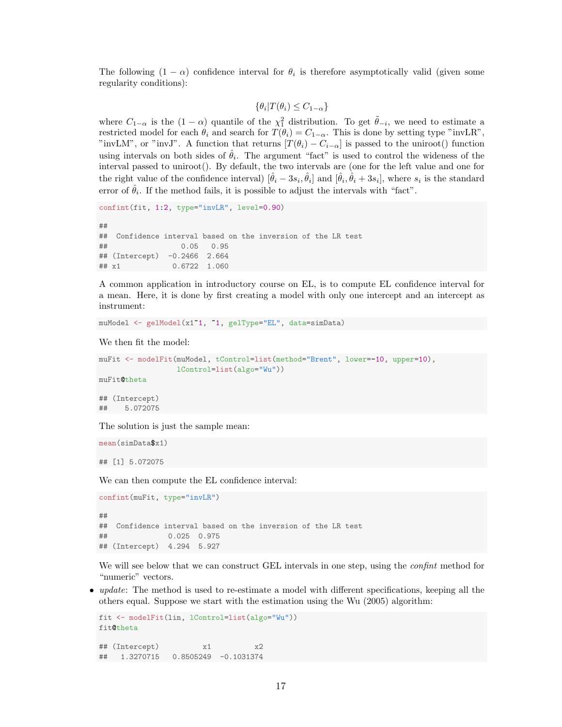The following  $(1 - \alpha)$  confidence interval for  $\theta_i$  is therefore asymptotically valid (given some regularity conditions):

$$
\{\theta_i | T(\theta_i) \le C_{1-\alpha}\}
$$

where  $C_{1-\alpha}$  is the  $(1-\alpha)$  quantile of the  $\chi_1^2$  distribution. To get  $\tilde{\theta}_{-i}$ , we need to estimate a restricted model for each  $\theta_i$  and search for  $T(\theta_i) = C_{1-\alpha}$ . This is done by setting type "invLR", "invLM", or "invJ". A function that returns  $[T(\theta_i) - C_{i-\alpha}]$  is passed to the uniroot() function using intervals on both sides of  $\hat{\theta}_i$ . The argument "fact" is used to control the wideness of the interval passed to uniroot(). By default, the two intervals are (one for the left value and one for the right value of the confidence interval)  $[\hat{\theta}_i - 3s_i, \hat{\theta}_i]$  and  $[\hat{\theta}_i, \hat{\theta}_i + 3s_i]$ , where  $s_i$  is the standard error of  $\hat{\theta}_i$ . If the method fails, it is possible to adjust the intervals with "fact".

```
confint(fit, 1:2, type="invLR", level=0.90)
##
## Confidence interval based on the inversion of the LR test
## 0.05 0.95
## (Intercept) -0.2466 2.664
## x1 0.6722 1.060
```
A common application in introductory course on EL, is to compute EL confidence interval for a mean. Here, it is done by first creating a model with only one intercept and an intercept as instrument:

```
muModel <- gelModel(x1~1, ~1, gelType="EL", data=simData)
```
We then fit the model:

```
muFit <- modelFit(muModel, tControl=list(method="Brent", lower=-10, upper=10),
                  lControl=list(algo="Wu"))
muFit@theta
## (Intercept)
```
## 5.072075

The solution is just the sample mean:

```
mean(simData$x1)
```
## [1] 5.072075

We can then compute the EL confidence interval:

```
confint(muFit, type="invLR")
##
## Confidence interval based on the inversion of the LR test
## 0.025 0.975
## (Intercept) 4.294 5.927
```
We will see below that we can construct GEL intervals in one step, using the *confint* method for "numeric" vectors.

• *update*: The method is used to re-estimate a model with different specifications, keeping all the others equal. Suppose we start with the estimation using the [Wu](#page-22-8) [\(2005\)](#page-22-8) algorithm:

```
fit <- modelFit(lin, lControl=list(algo="Wu"))
fit@theta
## (Intercept) x1 x2
## 1.3270715 0.8505249 -0.1031374
```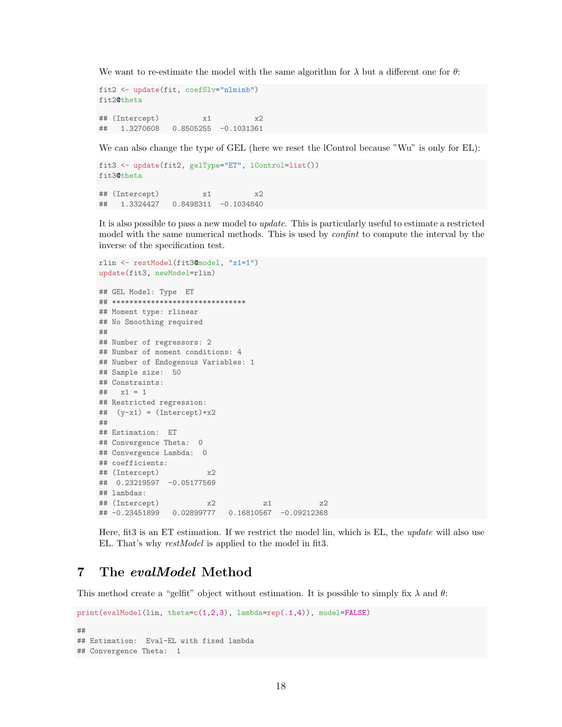We want to re-estimate the model with the same algorithm for  $\lambda$  but a different one for  $\theta$ :

```
fit2 <- update(fit, coefSlv="nlminb")
fit2@theta
## (Intercept) x1 x2
## 1.3270608 0.8505255 -0.1031361
```
We can also change the type of GEL (here we reset the lControl because "Wu" is only for EL):

```
fit3 <- update(fit2, gelType="ET", lControl=list())
fit3@theta
## (Intercept) x1 x2
## 1.3324427 0.8498311 -0.1034840
```
It is also possible to pass a new model to update. This is particularly useful to estimate a restricted model with the same numerical methods. This is used by *confinit* to compute the interval by the inverse of the specification test.

```
rlin <- restModel(fit3@model, "x1=1")
update(fit3, newModel=rlin)
## GEL Model: Type ET
## *******************************
## Moment type: rlinear
## No Smoothing required
##
## Number of regressors: 2
## Number of moment conditions: 4
## Number of Endogenous Variables: 1
## Sample size: 50
## Constraints:
## x1 = 1## Restricted regression:
\## (y-x1) = (Intercept)+x2
##
## Estimation: ET
## Convergence Theta: 0
## Convergence Lambda: 0
## coefficients:
## (Intercept) x2
## 0.23219597 -0.05177569
## lambdas:
## (Intercept) x2 z1 z2
## -0.23451899 0.02899777 0.16810567 -0.09212368
```
Here, fit3 is an ET estimation. If we restrict the model lin, which is EL, the update will also use EL. That's why restModel is applied to the model in fit3.

### <span id="page-17-0"></span>7 The evalModel Method

This method create a "gelfit" object without estimation. It is possible to simply fix  $\lambda$  and  $\theta$ :

```
print(evalModel(lin, theta=c(1,2,3), lambda=rep(.1,4)), model=FALSE)
##
## Estimation: Eval-EL with fixed lambda
## Convergence Theta: 1
```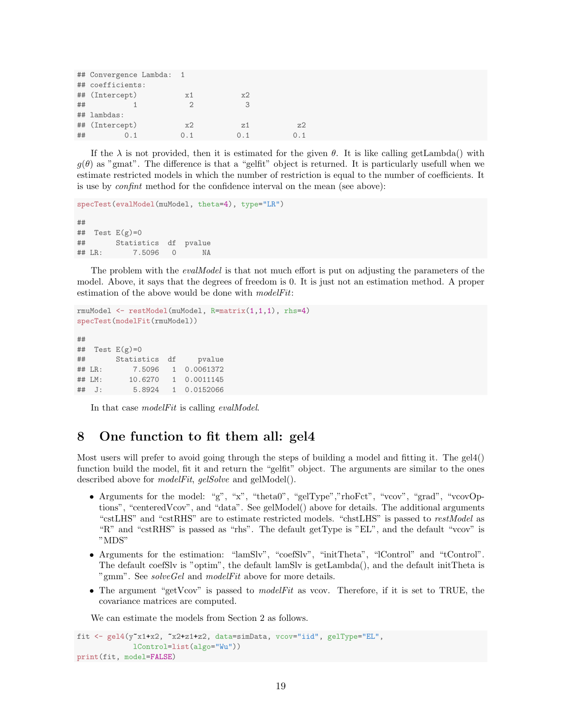|    | ## Convergence Lambda: |                |     |     |
|----|------------------------|----------------|-----|-----|
|    | ## coefficients:       |                |     |     |
|    | ## (Intercept)         | x1             | x2  |     |
| ## |                        | $\mathfrak{D}$ | З   |     |
|    | ## lambdas:            |                |     |     |
|    | ## (Intercept)         | x2             | z1  | z2  |
| ## |                        | O 1            | O 1 | O 1 |

If the  $\lambda$  is not provided, then it is estimated for the given  $\theta$ . It is like calling getLambda() with  $g(\theta)$  as "gmat". The difference is that a "gelfit" object is returned. It is particularly usefull when we estimate restricted models in which the number of restriction is equal to the number of coefficients. It is use by confint method for the confidence interval on the mean (see above):

```
specTest(evalModel(muModel, theta=4), type="LR")
##
## Test E(g)=0## Statistics df pvalue
## LR: 7.5096 0 NA
```
The problem with the *evalModel* is that not much effort is put on adjusting the parameters of the model. Above, it says that the degrees of freedom is 0. It is just not an estimation method. A proper estimation of the above would be done with modelFit:

```
rmuModel <- restModel(muModel, R=matrix(1,1,1), rhs=4)
specTest(modelFit(rmuModel))
##
## Test E(g)=0## Statistics df pvalue
## LR: 7.5096 1 0.0061372
## LM: 10.6270 1 0.0011145
## J: 5.8924 1 0.0152066
```
In that case *modelFit* is calling *evalModel*.

### <span id="page-18-0"></span>8 One function to fit them all: gel4

Most users will prefer to avoid going through the steps of building a model and fitting it. The gel4() function build the model, fit it and return the "gelfit" object. The arguments are similar to the ones described above for *modelFit*, gelSolve and gelModel().

- Arguments for the model: "g", "x", "theta0", "gelType","rhoFct", "vcov", "grad", "vcovOptions", "centeredVcov", and "data". See gelModel() above for details. The additional arguments "cstLHS" and "cstRHS" are to estimate restricted models. "chstLHS" is passed to restModel as "R" and "cstRHS" is passed as "rhs". The default getType is "EL", and the default "vcov" is "MDS"
- Arguments for the estimation: "lamSlv", "coefSlv", "initTheta", "lControl" and "tControl". The default coefSlv is "optim", the default lamSlv is getLambda(), and the default initTheta is "gmm". See *solveGel* and *modelFit* above for more details.
- The argument "getVcov" is passed to *modelFit* as vcov. Therefore, if it is set to TRUE, the covariance matrices are computed.

We can estimate the models from Section [2](#page-3-0) as follows.

```
fit <- gel4(y^*x1+x2, x2+x1+x2, data=simData, vcov="iid", gelType="EL",lControl=list(algo="Wu"))
print(fit, model=FALSE)
```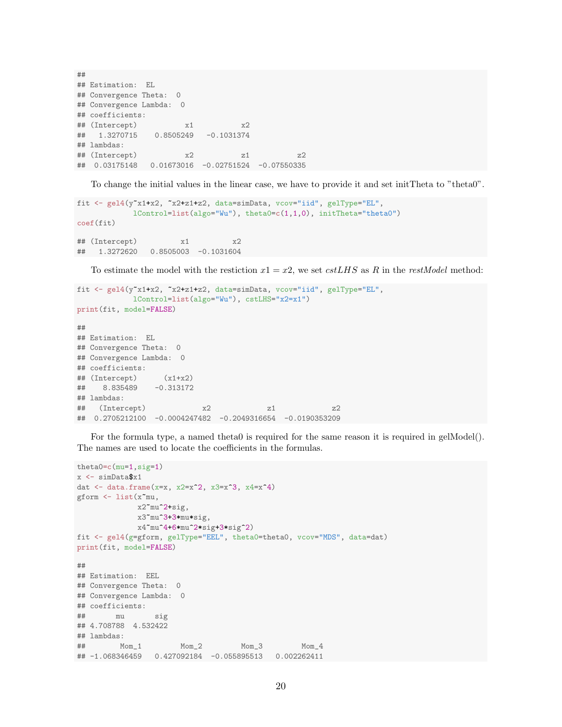## ## Estimation: EL ## Convergence Theta: 0 ## Convergence Lambda: 0 ## coefficients: ## (Intercept) x1 x2 ## 1.3270715 0.8505249 -0.1031374 ## lambdas:  $\#$ # (Intercept)  $x2$  z1 z2 ## 0.03175148 0.01673016 -0.02751524 -0.07550335

To change the initial values in the linear case, we have to provide it and set initTheta to "theta0".

```
fit <- gel4(y"x1+x2, "x2+z1+z2, data=simData, vcov="iid", gelType="EL",
           lControl=list(algo="Wu"), theta0=c(1,1,0), initTheta="theta0")
coef(fit)
## (Intercept) x1 x2
## 1.3272620 0.8505003 -0.1031604
```
To estimate the model with the restiction  $x1 = x2$ , we set  $cstLHS$  as R in the restModel method:

```
fit <- gel4(y~x1+x2, ~x2+z1+z2, data=simData, vcov="iid", gelType="EL",
           lControl=list(algo="Wu"), cstLHS="x2=x1")
print(fit, model=FALSE)
##
## Estimation: EL
## Convergence Theta: 0
## Convergence Lambda: 0
## coefficients:
## (Intercept) (x1+x2)
## 8.835489 -0.313172
## lambdas:
## (Intercept) x2 z1 z2
## 0.2705212100 -0.0004247482 -0.2049316654 -0.0190353209
```
For the formula type, a named theta0 is required for the same reason it is required in gelModel(). The names are used to locate the coefficients in the formulas.

```
theta0=c(mu=1,sig=1)
x \leftarrow \text{simData\$x1}dat \leq data.frame(x=x, x2=x^2, x3=x^3, x4=x^4)
gform <- list(x~mu,
             x2~mu^2+sig,
             x3~mu^3+3*mu*sig,
             x4~mu^4+6*mu^2*sig+3*sig^2)
fit <- gel4(g=gform, gelType="EEL", theta0=theta0, vcov="MDS", data=dat)
print(fit, model=FALSE)
##
## Estimation: EEL
## Convergence Theta: 0
## Convergence Lambda: 0
## coefficients:
## mu sig
## 4.708788 4.532422
## lambdas:
## Mom_1 Mom_2 Mom_3 Mom_4
## -1.068346459 0.427092184 -0.055895513 0.002262411
```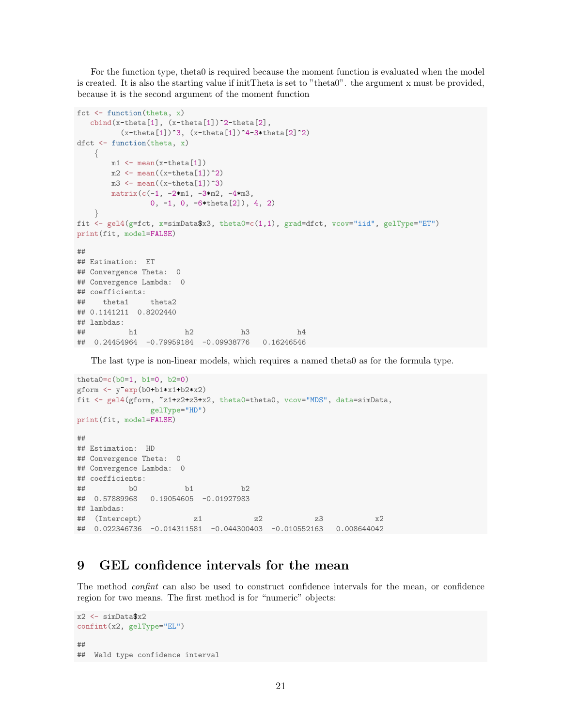For the function type, theta0 is required because the moment function is evaluated when the model is created. It is also the starting value if initTheta is set to "theta0". the argument x must be provided, because it is the second argument of the moment function

```
fct \leftarrow function(theta, x)
   \text{cbind}(x-\text{theta}[1], (x-\text{theta}[1])^2-\text{theta}[2],(x-\theta[1])^3, (x-\theta[1])^4-3*\theta[2]^2)dfct \leftarrow function(theta, x)
    {
        m1 \leftarrow \text{mean}(x-\text{theta}[1])m2 \leftarrow \text{mean}((x-\text{theta}[1])^2)m3 \leftarrow mean((x-theta[1])<sup>\sim</sup>3)
        matrix(c(-1, -2*m1, -3*m2, -4*m3),
                  0, -1, 0, -6*theta[2]), 4, 2)
    }
fit \leq gel4(g=fct, x=simData$x3, theta0=c(1,1), grad=dfct, vcov="iid", gelType="ET")
print(fit, model=FALSE)
##
## Estimation: ET
## Convergence Theta: 0
## Convergence Lambda: 0
## coefficients:
## theta1 theta2
## 0.1141211 0.8202440
## lambdas:
## h1 h2 h3 h4
## 0.24454964 -0.79959184 -0.09938776 0.16246546
```
The last type is non-linear models, which requires a named theta0 as for the formula type.

```
theta0=c(b0=1, b1=0, b2=0)
gform \langle- y<sup>o</sup>exp(b0+b1*x1+b2*x2)
fit <- gel4(gform, ~z1+z2+z3+x2, theta0=theta0, vcov="MDS", data=simData,
              gelType="HD")
print(fit, model=FALSE)
##
## Estimation: HD
## Convergence Theta: 0
## Convergence Lambda: 0
## coefficients:
## b0 b1 b2
## 0.57889968 0.19054605 -0.01927983
## lambdas:
\## (Intercept) z1 z2 z3 x2## 0.022346736 -0.014311581 -0.044300403 -0.010552163 0.008644042
```
### <span id="page-20-0"></span>9 GEL confidence intervals for the mean

The method confint can also be used to construct confidence intervals for the mean, or confidence region for two means. The first method is for "numeric" objects:

```
x2 \leftarrow \text{simData$x2}confint(x2, gelType="EL")
##
## Wald type confidence interval
```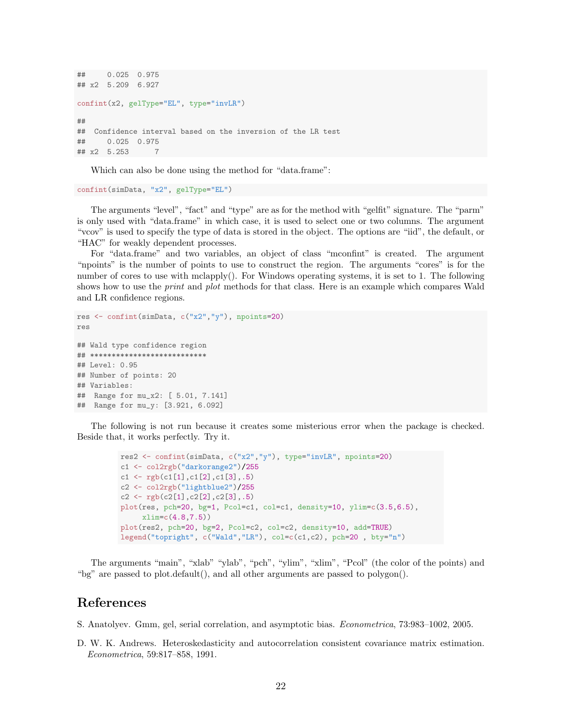```
## 0.025 0.975
## x2 5.209 6.927
confint(x2, gelType="EL", type="invLR")
##
## Confidence interval based on the inversion of the LR test
## 0.025 0.975
## x2 5.253 7
```
Which can also be done using the method for "data.frame":

confint(simData, "x2", gelType="EL")

The arguments "level", "fact" and "type" are as for the method with "gelfit" signature. The "parm" is only used with "data.frame" in which case, it is used to select one or two columns. The argument "vcov" is used to specify the type of data is stored in the object. The options are "iid", the default, or "HAC" for weakly dependent processes.

For "data.frame" and two variables, an object of class "mconfint" is created. The argument "npoints" is the number of points to use to construct the region. The arguments "cores" is for the number of cores to use with mclapply(). For Windows operating systems, it is set to 1. The following shows how to use the *print* and *plot* methods for that class. Here is an example which compares Wald and LR confidence regions.

```
res <- confint(simData, c("x2","y"), npoints=20)
res
## Wald type confidence region
## ***************************
## Level: 0.95
## Number of points: 20
## Variables:
## Range for mu_x2: [ 5.01, 7.141]
## Range for mu_y: [3.921, 6.092]
```
The following is not run because it creates some misterious error when the package is checked. Beside that, it works perfectly. Try it.

```
res2 <- confint(simData, c("x2","y"), type="invLR", npoints=20)
c1 <- col2rgb("darkorange2")/255
c1 \leftarrow rgb(c1[1],c1[2],c1[3],.5)
c2 <- col2rgb("lightblue2")/255
c2 \leftarrow rgb(c2[1],c2[2],c2[3],.5)
plot(res, pch=20, bg=1, Pcol=c1, col=c1, density=10, ylim=c(3.5,6.5),
     xlim=c(4.8,7.5))
plot(res2, pch=20, bg=2, Pcol=c2, col=c2, density=10, add=TRUE)
legend("topright", c("Wald","LR"), col=c(c1,c2), pch=20 , bty="n")
```
The arguments "main", "xlab" "ylab", "pch", "ylim", "xlim", "Pcol" (the color of the points) and "bg" are passed to plot.default(), and all other arguments are passed to polygon().

### References

- <span id="page-21-0"></span>S. Anatolyev. Gmm, gel, serial correlation, and asymptotic bias. Econometrica, 73:983–1002, 2005.
- <span id="page-21-1"></span>D. W. K. Andrews. Heteroskedasticity and autocorrelation consistent covariance matrix estimation. Econometrica, 59:817–858, 1991.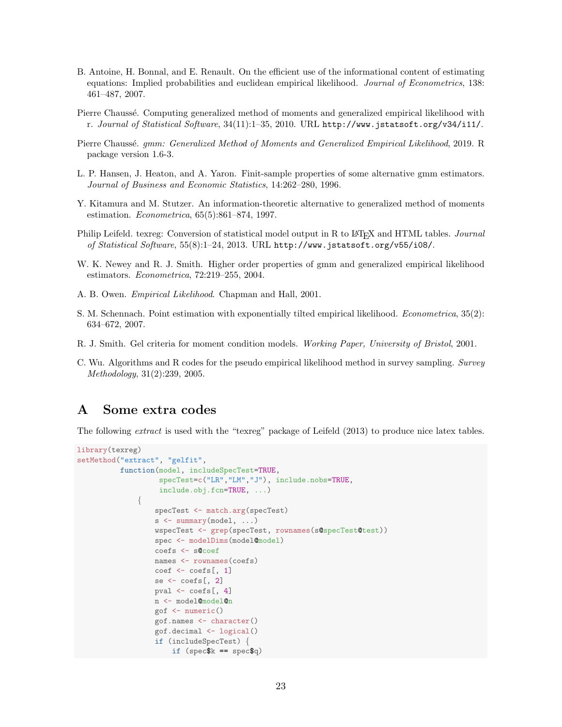- <span id="page-22-10"></span>B. Antoine, H. Bonnal, and E. Renault. On the efficient use of the informational content of estimating equations: Implied probabilities and euclidean empirical likelihood. Journal of Econometrics, 138: 461–487, 2007.
- <span id="page-22-2"></span>Pierre Chaussé. Computing generalized method of moments and generalized empirical likelihood with r. Journal of Statistical Software, 34(11):1–35, 2010. URL <http://www.jstatsoft.org/v34/i11/>.
- <span id="page-22-3"></span>Pierre Chaussé. gmm: Generalized Method of Moments and Generalized Empirical Likelihood, 2019. R package version 1.6-3.
- <span id="page-22-6"></span>L. P. Hansen, J. Heaton, and A. Yaron. Finit-sample properties of some alternative gmm estimators. Journal of Business and Economic Statistics, 14:262–280, 1996.
- <span id="page-22-5"></span>Y. Kitamura and M. Stutzer. An information-theoretic alternative to generalized method of moments estimation. Econometrica, 65(5):861–874, 1997.
- <span id="page-22-11"></span>Philip Leifeld. texreg: Conversion of statistical model output in R to L<sup>AT</sup>EX and HTML tables. *Journal* of Statistical Software, 55(8):1–24, 2013. URL <http://www.jstatsoft.org/v55/i08/>.
- <span id="page-22-1"></span>W. K. Newey and R. J. Smith. Higher order properties of gmm and generalized empirical likelihood estimators. Econometrica, 72:219–255, 2004.
- <span id="page-22-4"></span>A. B. Owen. Empirical Likelihood. Chapman and Hall, 2001.
- <span id="page-22-9"></span>S. M. Schennach. Point estimation with exponentially tilted empirical likelihood. Econometrica, 35(2): 634–672, 2007.
- <span id="page-22-7"></span>R. J. Smith. Gel criteria for moment condition models. Working Paper, University of Bristol, 2001.
- <span id="page-22-8"></span>C. Wu. Algorithms and R codes for the pseudo empirical likelihood method in survey sampling. Survey Methodology, 31(2):239, 2005.

#### <span id="page-22-0"></span>A Some extra codes

The following extract is used with the "texreg" package of [Leifeld](#page-22-11) [\(2013\)](#page-22-11) to produce nice latex tables.

```
library(texreg)
setMethod("extract", "gelfit",
          function(model, includeSpecTest=TRUE,
                   specTest=c("LR","LM","J"), include.nobs=TRUE,
                   include.obj.fcn=TRUE, ...)
              {
                  specTest <- match.arg(specTest)
                  s <- summary(model, ...)
                  wspecTest <- grep(specTest, rownames(s@specTest@test))
                  spec <- modelDims(model@model)
                  coefs <- s@coef
                  names <- rownames(coefs)
                  coef <- coefs[, 1]
                  se <- coefs[, 2]
                  pval <- coefs[, 4]
                  n <- model@model@n
                  gof <- numeric()
                  gof.names <- character()
                  gof.decimal <- logical()
                  if (includeSpecTest) {
                      if (spec$k == spec$q)
```